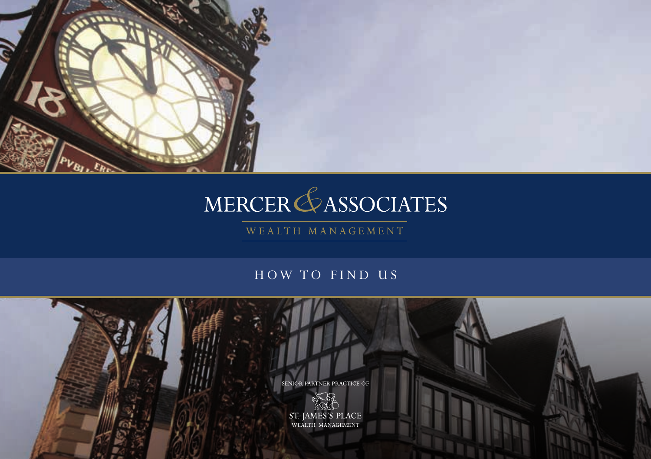

# MERCER GASSOCIATES

WEALTH MANAGEMENT

### HOW TO FIND US

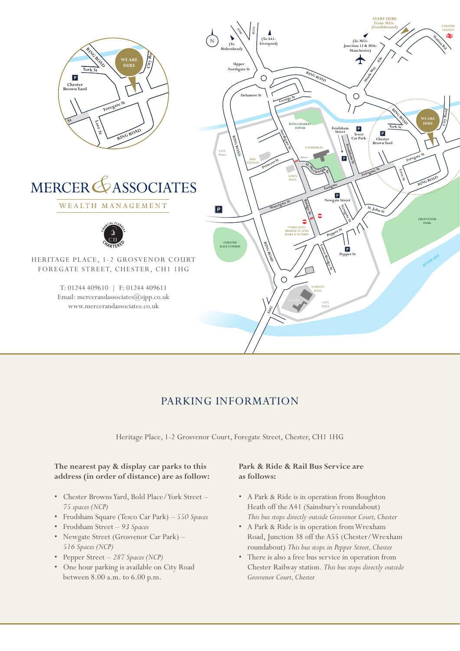

## PARKING INFORMATION

Heritage Place, 1-2 Grosvenor Court, Foregate Street, Chester, CH1 1HG

#### **The nearest pay & display car parks to this address (in order of distance) are as follow:**

- Chester Browns Yard, Bold Place/York Street  *75 spaces (NCP)*
- Frodsham Square (Tesco Car Park)  *550 Spaces*
- Frodsham Street *93 Spaces*
- Newgate Street (Grosvenor Car Park) *516 Spaces (NCP)*
- Pepper Street *287 Spaces (NCP)*
- One hour parking is available on City Road between 8.00 a.m. to 6.00 p.m.

#### **Park & Ride & Rail Bus Service are as follows:**

- A Park & Ride is in operation from Boughton Heath off the A41 (Sainsbury's roundabout) *This bus stops directly outside Grosvenor Court, Chester*
- A Park & Ride is in operation from Wrexham Road, Junction 38 off the A55 (Chester/Wrexham roundabout) *This bus stops in Pepper Street, Chester*
- There is also a free bus service in operation from Chester Railway station. *This bus stops directly outside Grosvenor Court, Chester*